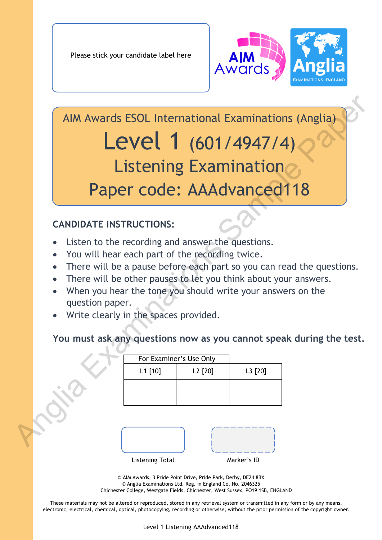

AIM Awards ESOL International Examinations (Anglia) Level 1 (601/4947/4) Listening Examination Paper code: AAAdvanced118 AIM Awards ESOL International Examinations (Anglia)<br>
Listening Examination<br>
Paper code: AAAdvanced118<br>
CANDIDATE INSTRUCTIONS:<br>
• Listen to the recording and answer the questions.<br>
• You will hear each part of the recordi

# **CANDIDATE INSTRUCTIONS:**

- Listen to the recording and answer the questions.
- You will hear each part of the recording twice.
- There will be a pause before each part so you can read the questions.
- There will be other pauses to let you think about your answers.
- When you hear the tone you should write your answers on the question paper.
- Write clearly in the spaces provided.

## **You must ask any questions now as you cannot speak during the test.**

| For Examiner's Use Only |         |         |
|-------------------------|---------|---------|
| L1 [10]                 | L2 [20] | L3 [20] |
|                         |         |         |
|                         |         |         |
|                         |         |         |



© AIM Awards, 3 Pride Point Drive, Pride Park, Derby, DE24 8BX © Anglia Examinations Ltd. Reg. in England Co. No. 2046325 Chichester College, Westgate Fields, Chichester, West Sussex, PO19 1SB, ENGLAND

These materials may not be altered or reproduced, stored in any retrieval system or transmitted in any form or by any means, electronic, electrical, chemical, optical, photocopying, recording or otherwise, without the prior permission of the copyright owner.

Level 1 Listening AAAdvanced118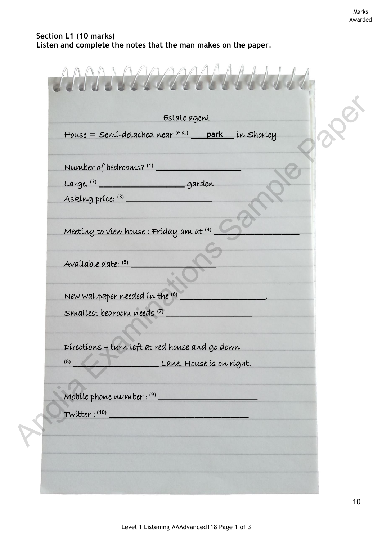#### **Section L1 (10 marks) Listen and complete the notes that the man makes on the paper***.*

Estate agent House = Semi-detached near (e.g.) park in Shorley Number of bedrooms? **(1) \_\_\_\_\_\_\_\_\_\_\_\_\_\_\_\_\_\_\_** Large, **(2) \_\_\_\_\_\_\_\_\_\_\_\_\_\_\_\_\_\_\_** garden Asking price: **(3) \_\_\_\_\_\_\_\_\_\_\_\_\_\_\_\_\_\_\_** Meeting to view house : Friday am at **(4) \_\_\_\_\_\_\_\_\_\_\_\_\_\_\_\_\_\_\_** Available date: **(5) \_\_\_\_\_\_\_\_\_\_\_\_\_\_\_\_\_\_\_** New wallpaper needed in the **(6) \_\_\_\_\_\_\_\_\_\_\_\_\_\_\_\_\_\_\_**. Smallest bedroom needs **(7) \_\_\_\_\_\_\_\_\_\_\_\_\_\_\_\_\_\_\_** l Directions – turn left at red house and go down **(8) \_\_\_\_\_\_\_\_\_\_\_\_\_\_\_\_\_\_\_** Lane. House is on right. Mobile phone number : **(9) \_\_\_\_\_\_\_\_\_\_\_\_\_\_\_\_\_\_\_\_\_\_** Twitter : **(10) \_\_\_\_\_\_\_\_\_\_\_\_\_\_\_\_\_\_\_\_\_\_\_\_\_\_\_\_\_\_\_**  $\overline{\phantom{a}}$ Estate agent<br>
House = Semi-detabled man (ns) park in Shortey<br>
Number of bedvoorns? (1)<br>
Large (1)<br>
Large (1)<br>
Asseming prise: 0)<br>
<br>
Available date: (3)<br>
<br>
Number examples: Friday am at (0)<br>
<br>
Available date: (3)<br>
<br>
Number

Marks Awarded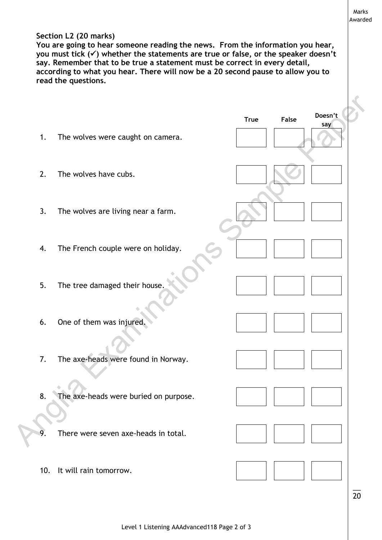#### **Section L2 (20 marks)**

**You are going to hear someone reading the news. From the information you hear, you must tick () whether the statements are true or false, or the speaker doesn't say. Remember that to be true a statement must be correct in every detail, according to what you hear. There will now be a 20 second pause to allow you to read the questions.**

|     |                                       | <b>True</b> | False | Doesn't |
|-----|---------------------------------------|-------------|-------|---------|
| 1.  | The wolves were caught on camera.     |             |       | say     |
| 2.  | The wolves have cubs.                 |             |       |         |
| 3.  | The wolves are living near a farm.    |             |       |         |
| 4.  | The French couple were on holiday.    |             |       |         |
| 5.  | The tree damaged their house.         |             |       |         |
| 6.  | One of them was injured.              |             |       |         |
| 7.  | The axe-heads were found in Norway.   |             |       |         |
| 8.  | The axe-heads were buried on purpose. |             |       |         |
| 9.  | There were seven axe-heads in total.  |             |       |         |
| 10. | It will rain tomorrow.                |             |       |         |